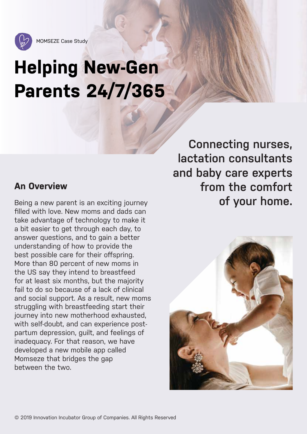

MOMSEZE Case Study

## **Helping New-Gen Parents 24/7/365**

## **An Overview**

Being a new parent is an exciting journey filled with love. New moms and dads can take advantage of technology to make it a bit easier to get through each day, to answer questions, and to gain a better understanding of how to provide the best possible care for their offspring. More than 80 percent of new moms in the US say they intend to breastfeed for at least six months, but the majority fail to do so because of a lack of clinical and social support. As a result, new moms struggling with breastfeeding start their journey into new motherhood exhausted, with self-doubt, and can experience postpartum depression, guilt, and feelings of inadequacy. For that reason, we have developed a new mobile app called Momseze that bridges the gap between the two.

**Connecting nurses, lactation consultants and baby care experts from the comfort of your home.**